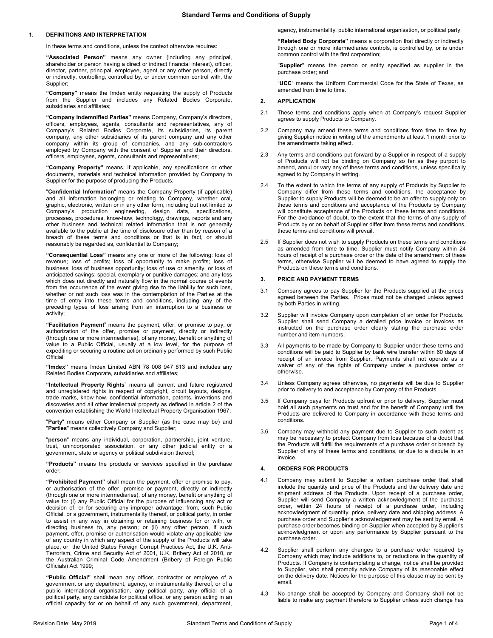# **1. DEFINITIONS AND INTERPRETATION**

In these terms and conditions, unless the context otherwise requires:

**"Associated Person"** means any owner (including any principal, shareholder or person having a direct or indirect financial interest), officer, director, partner, principal, employee, agent or any other person, directly or indirectly, controlling, controlled by, or under common control with, the Supplier;

**"Company"** means the Imdex entity requesting the supply of Products from the Supplier and includes any Related Bodies Corporate, subsidiaries and affiliates;

**"Company Indemnified Parties"** means Company, Company's directors, officers, employees, agents, consultants and representatives, any of Company's Related Bodies Corporate, its subsidiaries, its parent company, any other subsidiaries of its parent company and any other company within its group of companies, and any sub-contractors employed by Company with the consent of Supplier and their directors, officers, employees, agents, consultants and representatives;

**"Company Property"** means, if applicable, any specifications or other documents, materials and technical information provided by Company to Supplier for the purpose of producing the Products;

"**Confidential Information**" means the Company Property (if applicable) and all information belonging or relating to Company, whether oral, graphic, electronic, written or in any other form, including but not limited to Company's production engineering, design data, specifications, processes, procedures, know-how, technology, drawings, reports and any other business and technical related information that is not generally available to the public at the time of disclosure other than by reason of a breach of these terms and conditions or that is in fact, or should reasonably be regarded as, confidential to Company;

**"Consequential Loss"** means any one or more of the following: loss of revenue; loss of profits; loss of opportunity to make profits; loss of business; loss of business opportunity; loss of use or amenity, or loss of anticipated savings; special, exemplary or punitive damages; and any loss which does not directly and naturally flow in the normal course of events from the occurrence of the event giving rise to the liability for such loss, whether or not such loss was in the contemplation of the Parties at the time of entry into these terms and conditions, including any of the preceding types of loss arising from an interruption to a business or activity;

**"Facilitation Payment**" means the payment, offer, or promise to pay, or authorization of the offer, promise or payment, directly or indirectly (through one or more intermediaries), of any money, benefit or anything of value to a Public Official, usually at a low level, for the purpose of expediting or securing a routine action ordinarily performed by such Public Official;

**"Imdex"** means Imdex Limited ABN 78 008 947 813 and includes any Related Bodies Corporate, subsidiaries and affiliates;

**"Intellectual Property Rights**" means all current and future registered and unregistered rights in respect of copyright, circuit layouts, designs, trade marks, know-how, confidential information, patents, inventions and discoveries and all other intellectual property as defined in article 2 of the convention establishing the World Intellectual Property Organisation 1967;

"**Party**" means either Company or Supplier (as the case may be) and "**Parties**" means collectively Company and Supplier;

"**person**" means any individual, corporation, partnership, joint venture, trust, unincorporated association, or any other judicial entity or a government, state or agency or political subdivision thereof;

**"Products"** means the products or services specified in the purchase order;

**"Prohibited Payment"** shall mean the payment, offer or promise to pay, or authorisation of the offer, promise or payment, directly or indirectly (through one or more intermediaries), of any money, benefit or anything of value to: (i) any Public Official for the purpose of influencing any act or decision of, or for securing any improper advantage, from, such Public Official, or a government, instrumentality thereof, or political party, in order to assist in any way in obtaining or retaining business for or with, or directing business to, any person; or (ii) any other person, if such payment, offer, promise or authorisation would violate any applicable law of any country in which any aspect of the supply of the Products will take place, or the United States Foreign Corrupt Practices Act, the U.K. Anti-Terrorism, Crime and Security Act of 2001, U.K. Bribery Act of 2010, or the Australian Criminal Code Amendment (Bribery of Foreign Public Officials) Act 1999;

**"Public Official"** shall mean any officer, contractor or employee of a government or any department, agency, or instrumentality thereof, or of a public international organisation, any political party, any official of a political party, any candidate for political office, or any person acting in an official capacity for or on behalf of any such government, department,

agency, instrumentality, public international organisation, or political party;

**"Related Body Corporate"** means a corporation that directly or indirectly through one or more intermediaries controls, is controlled by, or is under common control with the first corporation;

"**Supplier**" means the person or entity specified as supplier in the purchase order; and

"**UCC**" means the Uniform Commercial Code for the State of Texas, as amended from time to time.

### **2. APPLICATION**

- 2.1 These terms and conditions apply when at Company's request Supplier agrees to supply Products to Company.
- 2.2 Company may amend these terms and conditions from time to time by giving Supplier notice in writing of the amendments at least 1 month prior to the amendments taking effect.
- 2.3 Any terms and conditions put forward by a Supplier in respect of a supply of Products will not be binding on Company so far as they purport to amend, annul or vary any of these terms and conditions, unless specifically agreed to by Company in writing.
- 2.4 To the extent to which the terms of any supply of Products by Supplier to Company differ from these terms and conditions, the acceptance by Supplier to supply Products will be deemed to be an offer to supply only on these terms and conditions and acceptance of the Products by Company will constitute acceptance of the Products on these terms and conditions. For the avoidance of doubt, to the extent that the terms of any supply of Products by or on behalf of Supplier differ from these terms and conditions, these terms and conditions will prevail.
- 2.5 If Supplier does not wish to supply Products on these terms and conditions as amended from time to time, Supplier must notify Company within 24 hours of receipt of a purchase order or the date of the amendment of these terms, otherwise Supplier will be deemed to have agreed to supply the Products on these terms and conditions.

# **3. PRICE AND PAYMENT TERMS**

- 3.1 Company agrees to pay Supplier for the Products supplied at the prices agreed between the Parties. Prices must not be changed unless agreed by both Parties in writing.
- 3.2 Supplier will invoice Company upon completion of an order for Products. Supplier shall send Company a detailed price invoice or invoices as instructed on the purchase order clearly stating the purchase order number and item numbers.
- 3.3 All payments to be made by Company to Supplier under these terms and conditions will be paid to Supplier by bank wire transfer within 60 days of receipt of an invoice from Supplier. Payments shall not operate as a waiver of any of the rights of Company under a purchase order or otherwise.
- 3.4 Unless Company agrees otherwise, no payments will be due to Supplier prior to delivery to and acceptance by Company of the Products.
- 3.5 If Company pays for Products upfront or prior to delivery, Supplier must hold all such payments on trust and for the benefit of Company until the Products are delivered to Company in accordance with these terms and conditions.
- 3.6 Company may withhold any payment due to Supplier to such extent as may be necessary to protect Company from loss because of a doubt that the Products will fulfill the requirements of a purchase order or breach by Supplier of any of these terms and conditions, or due to a dispute in an invoice.

## **4. ORDERS FOR PRODUCTS**

- <span id="page-0-0"></span>4.1 Company may submit to Supplier a written purchase order that shall include the quantity and price of the Products and the delivery date and shipment address of the Products. Upon receipt of a purchase order, Supplier will send Company a written acknowledgment of the purchase order, within 24 hours of receipt of a purchase order, including acknowledgment of quantity, price, delivery date and shipping address. A purchase order and Supplier's acknowledgement may be sent by email. A purchase order becomes binding on Supplier when accepted by Supplier's acknowledgment or upon any performance by Supplier pursuant to the purchase order.
- 4.2 Supplier shall perform any changes to a purchase order required by Company which may include additions to, or reductions in the quantity of Products. If Company is contemplating a change, notice shall be provided to Supplier, who shall promptly advise Company of its reasonable effect on the delivery date. Notices for the purpose of this clause may be sent by email.
- 4.3 No change shall be accepted by Company and Company shall not be liable to make any payment therefore to Supplier unless such change has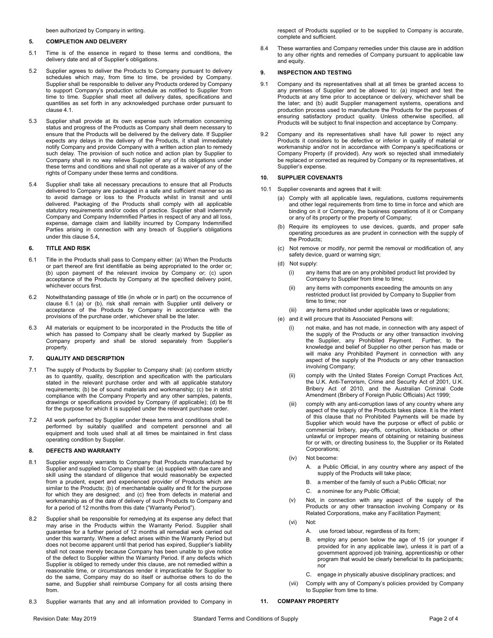been authorized by Company in writing.

#### **5. COMPLETION AND DELIVERY**

- 5.1 Time is of the essence in regard to these terms and conditions, the delivery date and all of Supplier's obligations.
- 5.2 Supplier agrees to deliver the Products to Company pursuant to delivery schedules which may, from time to time, be provided by Company. Supplier shall be responsible to deliver any Products ordered by Company to support Company's production schedule as notified to Supplier from time to time. Supplier shall meet all delivery dates, specifications and quantities as set forth in any acknowledged purchase order pursuant to claus[e 4.1.](#page-0-0)
- 5.3 Supplier shall provide at its own expense such information concerning status and progress of the Products as Company shall deem necessary to ensure that the Products will be delivered by the delivery date. If Supplier expects any delays in the delivery of the Products, it shall immediately notify Company and provide Company with a written action plan to remedy such delay. The provision of such notice and action plan by Supplier to Company shall in no way relieve Supplier of any of its obligations under these terms and conditions and shall not operate as a waiver of any of the rights of Company under these terms and conditions.
- <span id="page-1-0"></span>5.4 Supplier shall take all necessary precautions to ensure that all Products delivered to Company are packaged in a safe and sufficient manner so as to avoid damage or loss to the Products whilst in transit and until delivered. Packaging of the Products shall comply with all applicable statutory requirements and/or codes of practice. Supplier shall indemnify Company and Company Indemnified Parties in respect of any and all loss, expense, damage claim and liability incurred by Company Indemnified Parties arising in connection with any breach of Supplier's obligations under this claus[e 5.4](#page-1-0)**.**

## **6. TITLE AND RISK**

- <span id="page-1-1"></span>6.1 Title in the Products shall pass to Company either: (a) When the Products or part thereof are first identifiable as being appropriated to the order or; (b) upon payment of the relevant invoice by Company or; (c) upon acceptance of the Products by Company at the specified delivery point, whichever occurs first.
- 6.2 Notwithstanding passage of title (in whole or in part) on the occurrence of clause [6.1](#page-1-1) (a) or (b), risk shall remain with Supplier until delivery or acceptance of the Products by Company in accordance with the provisions of the purchase order, whichever shall be the later.
- 6.3 All materials or equipment to be incorporated in the Products the title of which has passed to Company shall be clearly marked by Supplier as Company property and shall be stored separately from Supplier's property.

## **7. QUALITY AND DESCRIPTION**

- 7.1 The supply of Products by Supplier to Company shall: (a) conform strictly as to quantity, quality, description and specification with the particulars stated in the relevant purchase order and with all applicable statutory requirements; (b) be of sound materials and workmanship; (c) be in strict compliance with the Company Property and any other samples, patents, drawings or specifications provided by Company (if applicable); (d) be fit for the purpose for which it is supplied under the relevant purchase order.
- 7.2 All work performed by Supplier under these terms and conditions shall be performed by suitably qualified and competent personnel and all equipment and tools used shall at all times be maintained in first class operating condition by Supplier.

## **8. DEFECTS AND WARRANTY**

- 8.1 Supplier expressly warrants to Company that Products manufactured by Supplier and supplied to Company shall be: (a) supplied with due care and skill using the standard of diligence that would reasonably be expected from a prudent, expert and experienced provider of Products which are similar to the Products; (b) of merchantable quality and fit for the purpose for which they are designed; and (c) free from defects in material and workmanship as of the date of delivery of such Products to Company and for a period of 12 months from this date ("Warranty Period").
- 8.2 Supplier shall be responsible for remedying at its expense any defect that may arise in the Products within the Warranty Period. Supplier shall guarantee for a further period of 12 months all remedial work carried out under this warranty. Where a defect arises within the Warranty Period but does not become apparent until that period has expired, Supplier's liability shall not cease merely because Company has been unable to give notice of the defect to Supplier within the Warranty Period. If any defects which Supplier is obliged to remedy under this clause, are not remedied within a reasonable time, or circumstances render it impracticable for Supplier to do the same, Company may do so itself or authorise others to do the same, and Supplier shall reimburse Company for all costs arising there from.
- 8.3 Supplier warrants that any and all information provided to Company in

respect of Products supplied or to be supplied to Company is accurate, complete and sufficient.

8.4 These warranties and Company remedies under this clause are in addition to any other rights and remedies of Company pursuant to applicable law and equity.

#### **9. INSPECTION AND TESTING**

- 9.1 Company and its representatives shall at all times be granted access to any premises of Supplier and be allowed to: (a) inspect and test the Products at any time prior to acceptance or delivery, whichever shall be the later; and (b) audit Supplier management systems, operations and production process used to manufacture the Products for the purposes of ensuring satisfactory product quality. Unless otherwise specified, all Products will be subject to final inspection and acceptance by Company.
- 9.2 Company and its representatives shall have full power to reject any Products it considers to be defective or inferior in quality of material or workmanship and/or not in accordance with Company's specifications or Company Property (if provided). Any work so rejected shall immediately be replaced or corrected as required by Company or its representatives, at Supplier's expense.

# **10. SUPPLIER COVENANTS**

- 10.1 Supplier covenants and agrees that it will:
	- (a) Comply with all applicable laws, regulations, customs requirements and other legal requirements from time to time in force and which are binding on it or Company, the business operations of it or Company or any of its property or the property of Company;
	- (b) Require its employees to use devices, guards, and proper safe operating procedures as are prudent in connection with the supply of the Products;
	- (c) Not remove or modify, nor permit the removal or modification of, any safety device, guard or warning sign;
	- (d) Not supply:
		- (i) any items that are on any prohibited product list provided by Company to Supplier from time to time;
		- (ii) any items with components exceeding the amounts on any restricted product list provided by Company to Supplier from time to time; nor
		- (iii) any items prohibited under applicable laws or regulations;
	- (e) and it will procure that its Associated Persons will:
		- (i) not make, and has not made, in connection with any aspect of the supply of the Products or any other transaction involving the Supplier, any Prohibited Payment. Further, to the knowledge and belief of Supplier no other person has made or will make any Prohibited Payment in connection with any aspect of the supply of the Products or any other transaction involving Company;
		- (ii) comply with the United States Foreign Corrupt Practices Act, the U.K. Anti-Terrorism, Crime and Security Act of 2001, U.K. Bribery Act of 2010, and the Australian Criminal Code Amendment (Bribery of Foreign Public Officials) Act 1999;
		- (iii) comply with any anti-corruption laws of any country where any aspect of the supply of the Products takes place. It is the intent of this clause that no Prohibited Payments will be made by Supplier which would have the purpose or effect of public or commercial bribery, pay-offs, corruption, kickbacks or other unlawful or improper means of obtaining or retaining business for or with, or directing business to, the Supplier or its Related Corporations;
		- (iv) Not become:
			- A. a Public Official, in any country where any aspect of the supply of the Products will take place;
			- B. a member of the family of such a Public Official; nor
			- C. a nominee for any Public Official;
		- (v) Not, in connection with any aspect of the supply of the Products or any other transaction involving Company or its Related Corporations, make any Facilitation Payment;
		- (vi) Not:
			- A. use forced labour, regardless of its form;
			- B. employ any person below the age of 15 (or younger if provided for in any applicable law), unless it is part of a government approved job training, apprenticeship or other program that would be clearly beneficial to its participants; nor
			- C. engage in physically abusive disciplinary practices; and
		- (vii) Comply with any of Company's policies provided by Company to Supplier from time to time.
- **11. COMPANY PROPERTY**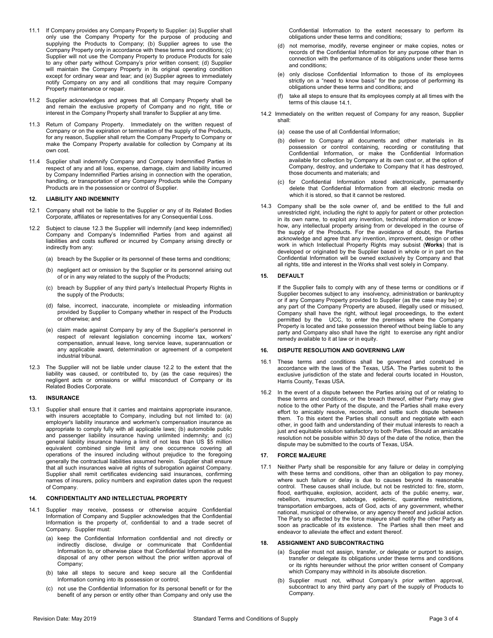- 11.1 If Company provides any Company Property to Supplier: (a) Supplier shall only use the Company Property for the purpose of producing and supplying the Products to Company; (b) Supplier agrees to use the Company Property only in accordance with these terms and conditions; (c) Supplier will not use the Company Property to produce Products for sale to any other party without Company's prior written consent; (d) Supplier will maintain the Company Property in its original operating condition except for ordinary wear and tear; and (e) Supplier agrees to immediately notify Company on any and all conditions that may require Company Property maintenance or repair.
- 11.2 Supplier acknowledges and agrees that all Company Property shall be and remain the exclusive property of Company and no right, title or interest in the Company Property shall transfer to Supplier at any time.
- 11.3 Return of Company Property. Immediately on the written request of Company or on the expiration or termination of the supply of the Products, for any reason, Supplier shall return the Company Property to Company or make the Company Property available for collection by Company at its own cost.
- 11.4 Supplier shall indemnify Company and Company Indemnified Parties in respect of any and all loss, expense, damage, claim and liability incurred by Company Indemnified Parties arising in connection with the operation, handling, or transportation of any Company Products while the Company Products are in the possession or control of Supplier.

# **12. LIABILITY AND INDEMNITY**

- 12.1 Company shall not be liable to the Supplier or any of its Related Bodies Corporate, affiliates or representatives for any Consequential Loss.
- <span id="page-2-1"></span>12.2 Subject to clause [12.3](#page-2-0) the Supplier will indemnify (and keep indemnified) Company and Company's Indemnified Parties from and against all liabilities and costs suffered or incurred by Company arising directly or indirectly from any:
	- (a) breach by the Supplier or its personnel of these terms and conditions;
	- (b) negligent act or omission by the Supplier or its personnel arising out of or in any way related to the supply of the Products;
	- (c) breach by Supplier of any third party's Intellectual Property Rights in the supply of the Products;
	- (d) false, incorrect, inaccurate, incomplete or misleading information provided by Supplier to Company whether in respect of the Products or otherwise; and
	- (e) claim made against Company by any of the Supplier's personnel in respect of relevant legislation concerning income tax, workers' compensation, annual leave, long service leave, superannuation or any applicable award, determination or agreement of a competent industrial tribunal.
- <span id="page-2-0"></span>12.3 The Supplier will not be liable under clause [12.2](#page-2-1) to the extent that the liability was caused, or contributed to, by (as the case requires) the negligent acts or omissions or willful misconduct of Company or its Related Bodies Corporate.

### **13. INSURANCE**

13.1 Supplier shall ensure that it carries and maintains appropriate insurance, with insurers acceptable to Company, including but not limited to: (a) employer's liability insurance and workmen's compensation insurance as appropriate to comply fully with all applicable laws; (b) automobile public and passenger liability insurance having unlimited indemnity; and (c) general liability insurance having a limit of not less than US \$5 million equivalent combined single limit any one occurrence covering all operations of the insured including without prejudice to the foregoing generally the contractual liabilities assumed herein. Supplier shall ensure that all such insurances waive all rights of subrogation against Company. Supplier shall remit certificates evidencing said insurances, confirming names of insurers, policy numbers and expiration dates upon the request of Company.

#### **14. CONFIDENTIALITY AND INTELLECTUAL PROPERTY**

- <span id="page-2-2"></span>14.1 Supplier may receive, possess or otherwise acquire Confidential Information of Company and Supplier acknowledges that the Confidential Information is the property of, confidential to and a trade secret of Company. Supplier must:
	- (a) keep the Confidential Information confidential and not directly or indirectly disclose, divulge or communicate that Confidential Information to, or otherwise place that Confidential Information at the disposal of any other person without the prior written approval of Company;
	- (b) take all steps to secure and keep secure all the Confidential Information coming into its possession or control;
	- (c) not use the Confidential Information for its personal benefit or for the benefit of any person or entity other than Company and only use the

Confidential Information to the extent necessary to perform its obligations under these terms and conditions;

- (d) not memorise, modify, reverse engineer or make copies, notes or records of the Confidential Information for any purpose other than in connection with the performance of its obligations under these terms and conditions;
- (e) only disclose Confidential Information to those of its employees strictly on a "need to know basis" for the purpose of performing its obligations under these terms and conditions; and
- (f) take all steps to ensure that its employees comply at all times with the terms of this claus[e 14.1.](#page-2-2)
- 14.2 Immediately on the written request of Company for any reason, Supplier shall:
	- (a) cease the use of all Confidential Information;
	- (b) deliver to Company all documents and other materials in its possession or control containing, recording or constituting that Confidential Information, or make the Confidential Information available for collection by Company at its own cost or, at the option of Company, destroy, and undertake to Company that it has destroyed, those documents and materials; and
	- (c) for Confidential Information stored electronically, permanently delete that Confidential Information from all electronic media on which it is stored, so that it cannot be restored.
- 14.3 Company shall be the sole owner of, and be entitled to the full and unrestricted right, including the right to apply for patent or other protection in its own name, to exploit any invention, technical information or knowhow, any intellectual property arising from or developed in the course of the supply of the Products. For the avoidance of doubt, the Parties acknowledge and agree that any invention, improvement, design or other work in which Intellectual Property Rights may subsist (**Works**) that is developed or originated by the Supplier based in whole or in part on the Confidential Information will be owned exclusively by Company and that all rights, title and interest in the Works shall vest solely in Company.

## **15. DEFAULT**

If the Supplier fails to comply with any of these terms or conditions or if Supplier becomes subject to any insolvency, administration or bankruptcy or if any Company Property provided to Supplier (as the case may be) or any part of the Company Property are abused, illegally used or misused, Company shall have the right, without legal proceedings, to the extent permitted by the UCC, to enter the premises where the Company Property is located and take possession thereof without being liable to any party and Company also shall have the right to exercise any right and/or remedy available to it at law or in equity.

### **16. DISPUTE RESOLUTION AND GOVERNING LAW**

- 16.1 These terms and conditions shall be governed and construed in accordance with the laws of the Texas, USA. The Parties submit to the exclusive jurisdiction of the state and federal courts located in Houston, Harris County, Texas USA.
- 16.2 In the event of a dispute between the Parties arising out of or relating to these terms and conditions, or the breach thereof, either Party may give notice to the other Party of the dispute, and the Parties shall make every effort to amicably resolve, reconcile, and settle such dispute between them. To this extent the Parties shall consult and negotiate with each other, in good faith and understanding of their mutual interests to reach a just and equitable solution satisfactory to both Parties. Should an amicable resolution not be possible within 30 days of the date of the notice, then the dispute may be submitted to the courts of Texas, USA.

# **17. FORCE MAJEURE**

17.1 Neither Party shall be responsible for any failure or delay in complying with these terms and conditions, other than an obligation to pay money, where such failure or delay is due to causes beyond its reasonable control. These causes shall include, but not be restricted to: fire, storm, flood, earthquake, explosion, accident, acts of the public enemy, war, rebellion, insurrection, sabotage, epidemic, quarantine restrictions, transportation embargoes, acts of God, acts of any government, whether national, municipal or otherwise, or any agency thereof and judicial action. The Party so affected by the force majeure shall notify the other Party as soon as practicable of its existence. The Parties shall then meet and endeavor to alleviate the effect and extent thereof.

#### **18. ASSIGNMENT AND SUBCONTRACTING**

- (a) Supplier must not assign, transfer, or delegate or purport to assign, transfer or delegate its obligations under these terms and conditions or its rights hereunder without the prior written consent of Company which Company may withhold in its absolute discretion.
- (b) Supplier must not, without Company's prior written approval, subcontract to any third party any part of the supply of Products to Company.